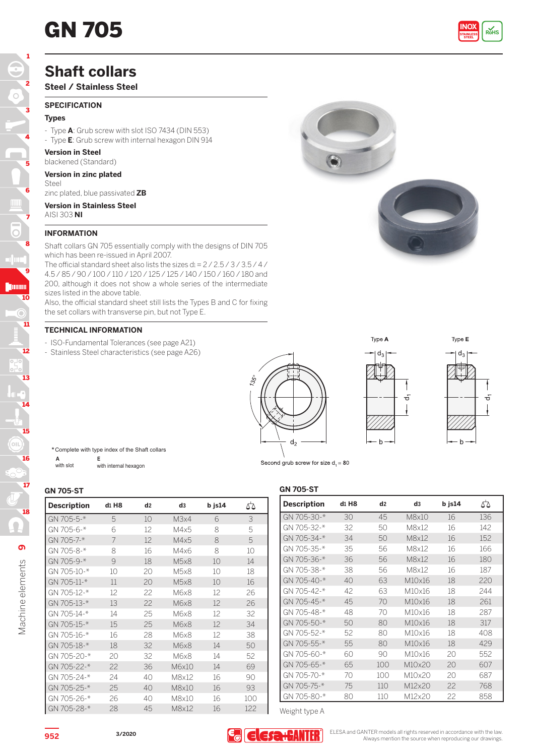# **GN 705**



## **Shaft collars**

**Steel / Stainless Steel**

#### **SPECIFICATION**

### **Types**

1

- Type **A**: Grub screw with slot ISO 7434 (DIN 553)

- Type **E**: Grub screw with internal hexagon DIN 914

**Version in Steel**

#### blackened (Standard) **Version in zinc plated**

Steel

zinc plated, blue passivated **ZB**

#### **Version in Stainless Steel** AISI 303 **NI**

### **INFORMATION**

Shaft collars GN 705 essentially comply with the designs of DIN 705 which has been re-issued in April 2007.

The official standard sheet also lists the sizes di =  $2/2.5/3/3.5/4/$ 4.5 / 85 / 90 / 100 / 110 / 120 / 125 / 125 / 140 / 150 / 160 / 180 and 200, although it does not show a whole series of the intermediate sizes listed in the above table.

Also, the official standard sheet still lists the Types B and C for fixing the set collars with transverse pin, but not Type E.

#### **TECHNICAL INFORMATION**

- ISO-Fundamental Tolerances (see page A21)
- Stainless Steel characteristics (see page A26)



۸





\* Complete with type index of the Shaft collars

**E** with internal hexagon with slot **A**

| rв | 1705- |  |
|----|-------|--|

| un / vj v l        |       |                |                |        |     |
|--------------------|-------|----------------|----------------|--------|-----|
| <b>Description</b> | d1 H8 | d <sub>2</sub> | d <sub>3</sub> | b js14 | 55  |
| GN 705-5-*         | 5     | 10             | M3x4           | 6      | 3   |
| GN 705-6-*         | 6     | 12             | M4x5           | 8      | 5   |
| GN 705-7-*         | 7     | 12             | M4x5           | 8      | 5   |
| GN 705-8-*         | 8     | 16             | M4x6           | 8      | 10  |
| GN 705-9-*         | 9     | 18             | M5x8           | 10     | 14  |
| GN 705-10-*        | 10    | 20             | M5x8           | 10     | 18  |
| GN 705-11-*        | 11    | 20             | M5x8           | 10     | 16  |
| GN 705-12-*        | 12    | 22             | M6x8           | 12     | 26  |
| GN 705-13-*        | 13    | 22             | M6x8           | 12     | 26  |
| GN 705-14-*        | 14    | 25             | M6x8           | 12     | 32  |
| GN 705-15-*        | 15    | 25             | M6x8           | 12     | 34  |
| GN 705-16-*        | 16    | 28             | M6x8           | 12     | 38  |
| GN 705-18-*        | 18    | 32             | M6x8           | 14     | 50  |
| GN 705-20-*        | 20    | 32             | M6x8           | 14     | 52  |
| GN 705-22-*        | 22    | 36             | M6x10          | 14     | 69  |
| GN 705-24-*        | 24    | 40             | M8x12          | 16     | 90  |
| GN 705-25-*        | 25    | 40             | M8x10          | 16     | 93  |
| GN 705-26-*        | 26    | 40             | M8x10          | 16     | 100 |
| GN 705-28-*        | 28    | 45             | M8x12          | 16     | 122 |

#### **GN 705-ST**

| <b>Description</b> | d1 H8 | d <sub>2</sub> | d3     | b js14 | ΔΔ  |
|--------------------|-------|----------------|--------|--------|-----|
| GN 705-30-*        | 30    | 45             | M8x10  | 16     | 136 |
| GN 705-32-*        | 32    | 50             | M8x12  | 16     | 142 |
| GN 705-34-*        | 34    | 50             | M8x12  | 16     | 152 |
| GN 705-35-*        | 35    | 56             | M8x12  | 16     | 166 |
| GN 705-36-*        | 36    | 56             | M8x12  | 16     | 180 |
| GN 705-38-*        | 38    | 56             | M8x12  | 16     | 187 |
| GN 705-40-*        | 40    | 63             | M10x16 | 18     | 220 |
| GN 705-42-*        | 42    | 63             | M10x16 | 18     | 244 |
| GN 705-45-*        | 45    | 70             | M10x16 | 18     | 261 |
| GN 705-48-*        | 48    | 70             | M10x16 | 18     | 287 |
| GN 705-50-*        | 50    | 80             | M10x16 | 18     | 317 |
| GN 705-52-*        | 52    | 80             | M10x16 | 18     | 408 |
| GN 705-55-*        | 55    | 80             | M10x16 | 18     | 429 |
| GN 705-60-*        | 60    | 90             | M10x16 | 20     | 552 |
| $GN$ 705-65-*      | 65    | 100            | M10x20 | 20     | 607 |
| GN 705-70-*        | 70    | 100            | M10x20 | 20     | 687 |
| GN 705-75-*        | 75    | 110            | M12x20 | 22     | 768 |
| GN 705-80-*        | 80    | 110            | M12x20 | 22     | 858 |

Weight type A